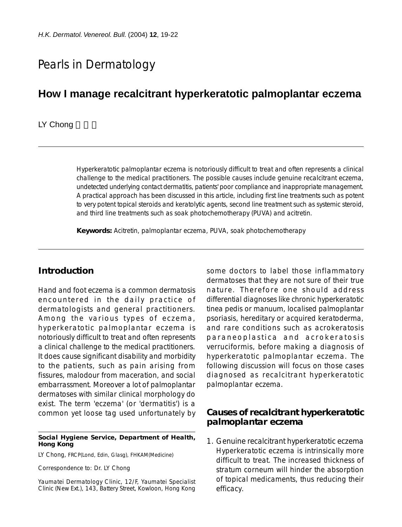# Pearls in Dermatology

## **How I manage recalcitrant hyperkeratotic palmoplantar eczema**

#### LY Chong

Hyperkeratotic palmoplantar eczema is notoriously difficult to treat and often represents a clinical challenge to the medical practitioners. The possible causes include genuine recalcitrant eczema, undetected underlying contact dermatitis, patients' poor compliance and inappropriate management. A practical approach has been discussed in this article, including first line treatments such as potent to very potent topical steroids and keratolytic agents, second line treatment such as systemic steroid, and third line treatments such as soak photochemotherapy (PUVA) and acitretin.

**Keywords:** Acitretin, palmoplantar eczema, PUVA, soak photochemotherapy

## **Introduction**

Hand and foot eczema is a common dermatosis encountered in the daily practice of dermatologists and general practitioners. Among the various types of eczema, hyperkeratotic palmoplantar eczema is notoriously difficult to treat and often represents a clinical challenge to the medical practitioners. It does cause significant disability and morbidity to the patients, such as pain arising from fissures, malodour from maceration, and social embarrassment. Moreover a lot of palmoplantar dermatoses with similar clinical morphology do exist. The term 'eczema' (or 'dermatitis') is a common yet loose tag used unfortunately by

#### **Social Hygiene Service, Department of Health, Hong Kong**

LY Chong, FRCP(Lond, Edin, Glasg), FHKAM(Medicine)

Correspondence to: Dr. LY Chong

Yaumatei Dermatology Clinic, 12/F, Yaumatei Specialist Clinic (New Ext.), 143, Battery Street, Kowloon, Hong Kong some doctors to label those inflammatory dermatoses that they are not sure of their true nature. Therefore one should address differential diagnoses like chronic hyperkeratotic tinea pedis or manuum, localised palmoplantar psoriasis, hereditary or acquired keratoderma, and rare conditions such as acrokeratosis paraneoplastica and acrokeratosis verruciformis, before making a diagnosis of hyperkeratotic palmoplantar eczema. The following discussion will focus on those cases diagnosed as recalcitrant hyperkeratotic palmoplantar eczema.

## **Causes of recalcitrant hyperkeratotic palmoplantar eczema**

1. *Genuine recalcitrant hyperkeratotic eczema* Hyperkeratotic eczema is intrinsically more difficult to treat. The increased thickness of stratum corneum will hinder the absorption of topical medicaments, thus reducing their efficacy.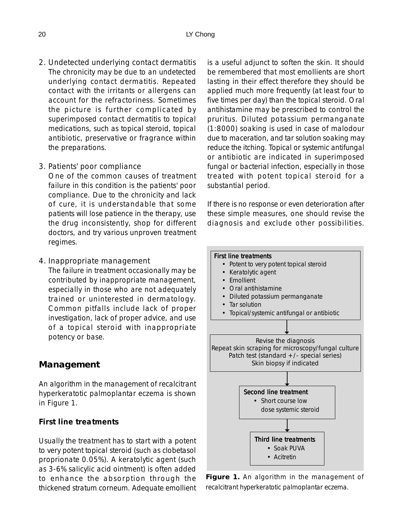*2. Undetected underlying contact dermatitis* The chronicity may be due to an undetected underlying contact dermatitis. Repeated contact with the irritants or allergens can account for the refractoriness. Sometimes the picture is further complicated by superimposed contact dermatitis to topical medications, such as topical steroid, topical antibiotic, preservative or fragrance within the preparations.

#### *3. Patients' poor compliance*

One of the common causes of treatment failure in this condition is the patients' poor compliance. Due to the chronicity and lack of cure, it is understandable that some patients will lose patience in the therapy, use the drug inconsistently, shop for different doctors, and try various unproven treatment regimes.

4. Inappropriate management

The failure in treatment occasionally may be contributed by inappropriate management, especially in those who are not adequately trained or uninterested in dermatology. Common pitfalls include lack of proper investigation, lack of proper advice, and use of a topical steroid with inappropriate potency or base.

## **Management**

An algorithm in the management of recalcitrant hyperkeratotic palmoplantar eczema is shown in Figure 1.

#### *First line treatments*

Usually the treatment has to start with a potent to very potent topical steroid (such as clobetasol proprionate 0.05%). A keratolytic agent (such as 3-6% salicylic acid ointment) is often added to enhance the absorption through the thickened stratum corneum. Adequate emollient

is a useful adjunct to soften the skin. It should be remembered that most emollients are short lasting in their effect therefore they should be applied much more frequently (at least four to five times per day) than the topical steroid. Oral antihistamine may be prescribed to control the pruritus. Diluted potassium permanganate (1:8000) soaking is used in case of malodour due to maceration, and tar solution soaking may reduce the itching. Topical or systemic antifungal or antibiotic are indicated in superimposed fungal or bacterial infection, especially in those treated with potent topical steroid for a substantial period.

If there is no response or even deterioration after these simple measures, one should revise the diagnosis and exclude other possibilities.



**Figure 1.** An algorithm in the management of recalcitrant hyperkeratotic palmoplantar eczema.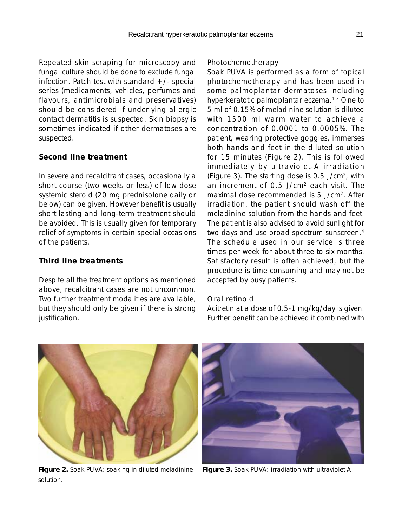Repeated skin scraping for microscopy and fungal culture should be done to exclude fungal infection. Patch test with standard  $+/-$  special series (medicaments, vehicles, perfumes and flavours, antimicrobials and preservatives) should be considered if underlying allergic contact dermatitis is suspected. Skin biopsy is sometimes indicated if other dermatoses are suspected.

#### *Second line treatment*

In severe and recalcitrant cases, occasionally a short course (two weeks or less) of low dose systemic steroid (20 mg prednisolone daily or below) can be given. However benefit is usually short lasting and long-term treatment should be avoided. This is usually given for temporary relief of symptoms in certain special occasions of the patients.

## *Third line treatments*

Despite all the treatment options as mentioned above, recalcitrant cases are not uncommon. Two further treatment modalities are available, but they should only be given if there is strong justification.

#### Photochemotherapy

Soak PUVA is performed as a form of topical photochemotherapy and has been used in some palmoplantar dermatoses including hyperkeratotic palmoplantar eczema.<sup>1-3</sup> One to 5 ml of 0.15% of meladinine solution is diluted with 1500 ml warm water to achieve a concentration of 0.0001 to 0.0005%. The patient, wearing protective goggles, immerses both hands and feet in the diluted solution for 15 minutes (Figure 2). This is followed immediately by ultraviolet-A irradiation (Figure 3). The starting dose is 0.5 J/cm2, with an increment of 0.5 J/cm2 each visit. The maximal dose recommended is 5 J/cm2. After irradiation, the patient should wash off the meladinine solution from the hands and feet. The patient is also advised to avoid sunlight for two days and use broad spectrum sunscreen.<sup>4</sup> The schedule used in our service is three times per week for about three to six months. Satisfactory result is often achieved, but the procedure is time consuming and may not be accepted by busy patients.

#### Oral retinoid

Acitretin at a dose of 0.5-1 mg/kg/day is given. Further benefit can be achieved if combined with



**Figure 2.** Soak PUVA: soaking in diluted meladinine solution.



**Figure 3.** Soak PUVA: irradiation with ultraviolet A.